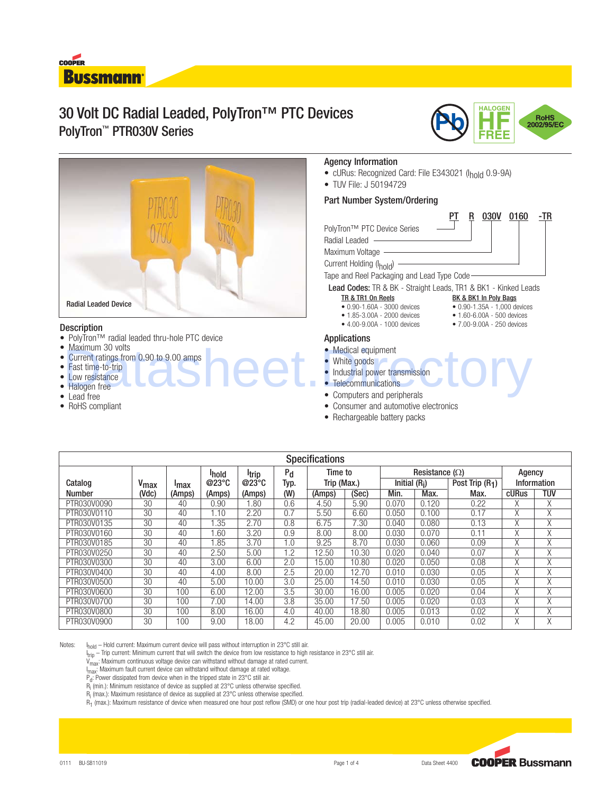# **COOPER Bussmann**

# 30 Volt DC Radial Leaded, PolyTron™ PTC Devices PolyTron™ PTR030V Series





## **Description**

- PolyTron™ radial leaded thru-hole PTC device
- Maximum 30 volts
- Current ratings from 0.90 to 9.00 amps
- Fast time-to-trip
- Low resistance
- Halogen free
- Lead free
- RoHS compliant

# Agency Information

- cURus: Recognized Card: File E343021 (Ihold 0.9-9A)
- TUV File: J 50194729

# Part Number System/Ordering

|                                              |  | <b>030V</b> | 0160 | -TR |
|----------------------------------------------|--|-------------|------|-----|
| PolyTron™ PTC Device Series                  |  |             |      |     |
| Radial Leaded                                |  |             |      |     |
| Maximum Voltage                              |  |             |      |     |
| Current Holding (I <sub>hold</sub> )         |  |             |      |     |
| Tape and Reel Packaging and Lead Type Code - |  |             |      |     |

Lead Codes: TR & BK - Straight Leads, TR1 & BK1 - Kinked Leads

- TR & TR1 On Reels BK & BK1 In Poly Bags<br>
 0.90-1.60A 3000 devices 0.90-1.35A 1,000 de • 0.90-1.35A - 1,000 devices<br>• 1.60-6.00A - 500 devices
- 1.85-3.00A 2000 devices 1.60-6.00A 500 devices
- $4.00 9.00A 1000$  devices

## Applications

- Medical equipment
- White goods
- Industrial power transmission Maximum 30 volts<br>
Current ratings from 0.90 to 9.00 amps<br>
Fast time-to-trip<br>
Low resistance<br>
Ladge free<br>
Ladge free<br>
Ladge free<br>
Ladge free<br>
Ladge free<br>
Ladge free<br>
Ladge free
	- Telecommunications
	- Computers and peripherals
	- Consumer and automotive electronics
	- Rechargeable battery packs

| <b>Specifications</b> |                  |              |                   |              |         |             |       |                       |       |                  |                    |     |
|-----------------------|------------------|--------------|-------------------|--------------|---------|-------------|-------|-----------------------|-------|------------------|--------------------|-----|
|                       |                  |              | <sup>I</sup> hold | <b>Itrip</b> | $P_{d}$ | Time to     |       | Resistance $(\Omega)$ |       |                  | Agency             |     |
| Catalog               | V <sub>max</sub> | <b>I</b> max | @23°C             | @23°C        | Typ.    | Trip (Max.) |       | Initial $(Ri)$        |       | Post Trip $(R1)$ | <b>Information</b> |     |
| <b>Number</b>         | (Vdc)            | (Amps)       | (Amps)            | (Amps)       | (W)     | (Amps)      | (Sec) | Min.                  | Max.  | Max.             | cURus              | tuv |
| PTR030V0090           | 30               | 40           | 0.90              | .80          | 0.6     | 4.50        | 5.90  | 0.070                 | 0.120 | 0.22             | Χ                  | Χ   |
| PTR030V0110           | 30               | 40           | .10               | 2.20         | 0.7     | 5.50        | 6.60  | 0.050                 | 0.100 | 0.17             | Χ                  | χ   |
| PTR030V0135           | 30               | 40           | .35               | 2.70         | 0.8     | 6.75        | 7.30  | 0.040                 | 0.080 | 0.13             | X                  | Χ   |
| PTR030V0160           | 30               | 40           | .60               | 3.20         | 0.9     | 8.00        | 8.00  | 0.030                 | 0.070 | 0.11             | X                  | χ   |
| PTR030V0185           | 30               | 40           | .85               | 3.70         | 1.0     | 9.25        | 8.70  | 0.030                 | 0.060 | 0.09             | X                  | Χ   |
| PTR030V0250           | 30               | 40           | 2.50              | 5.00         | 1.2     | 12.50       | 10.30 | 0.020                 | 0.040 | 0.07             | X                  | Χ   |
| PTR030V0300           | 30               | 40           | 3.00              | 6.00         | 2.0     | 15.00       | 10.80 | 0.020                 | 0.050 | 0.08             | X                  | Χ   |
| PTR030V0400           | 30               | 40           | 4.00              | 8.00         | 2.5     | 20.00       | 12.70 | 0.010                 | 0.030 | 0.05             | Χ                  | χ   |
| PTR030V0500           | 30               | 40           | 5.00              | 10.00        | 3.0     | 25.00       | 14.50 | 0.010                 | 0.030 | 0.05             | Χ                  | χ   |
| PTR030V0600           | 30               | 100          | 6.00              | 12.00        | 3.5     | 30.00       | 16.00 | 0.005                 | 0.020 | 0.04             | X                  | Χ   |
| PTR030V0700           | 30               | 100          | 7.00              | 14.00        | 3.8     | 35.00       | 17.50 | 0.005                 | 0.020 | 0.03             | X                  | Χ   |
| PTR030V0800           | 30               | 100          | 8.00              | 16.00        | 4.0     | 40.00       | 18.80 | 0.005                 | 0.013 | 0.02             | Χ                  | χ   |
| PTR030V0900           | 30               | 100          | 9.00              | 18.00        | 4.2     | 45.00       | 20.00 | 0.005                 | 0.010 | 0.02             | X                  | Χ   |

Notes: I<sub>hold</sub> – Hold current: Maximum current device will pass without interruption in 23°C still air.

I trip – Trip current: Minimum current that will switch the device from low resistance to high resistance in 23°C still air.

V<sub>max</sub>: Maximum continuous voltage device can withstand without damage at rated current.

I Imax: Maximum fault current device can withstand without damage at rated voltage.

 $P_d$ : Power dissipated from device when in the tripped state in 23°C still air.

 $R_i$  (min.): Minimum resistance of device as supplied at 23°C unless otherwise specified.

 $R_i$  (max.): Maximum resistance of device as supplied at 23°C unless otherwise specified.

 $R_1$  (max.): Maximum resistance of device when measured one hour post reflow (SMD) or one hour post trip (radial-leaded device) at 23°C unless otherwise specified.

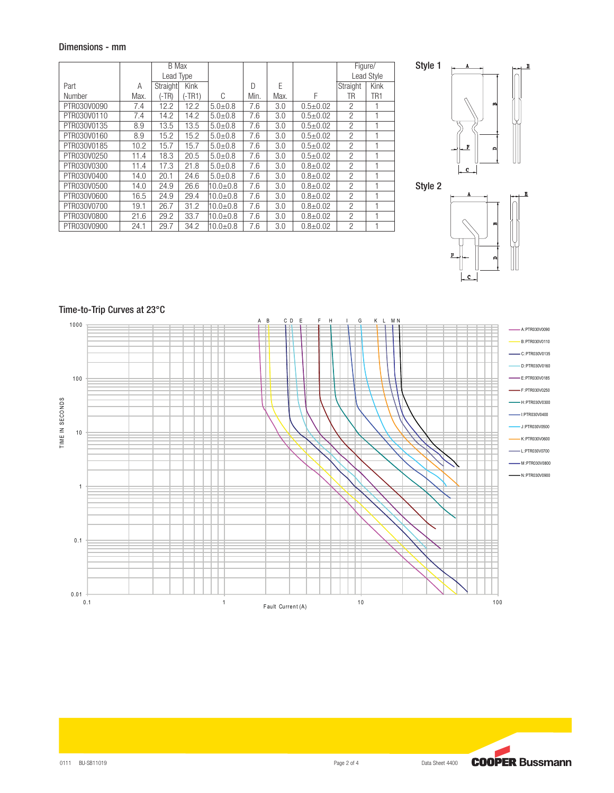# Dimensions - mm

|             |      | <b>B</b> Max |             |              |      |      |                |                | Figure/    |  |
|-------------|------|--------------|-------------|--------------|------|------|----------------|----------------|------------|--|
|             |      | Lead Type    |             |              |      |      |                |                | Lead Style |  |
| Part        | Α    | Straight     | <b>Kink</b> |              | D    | E    |                | Straight       | Kink       |  |
| Number      | Max. | (-TR)        | (-TR1)      | C            | Min. | Max. | F              | TR             | TR1        |  |
| PTR030V0090 | 7.4  | 12.2         | 12.2        | $5.0 + 0.8$  | 7.6  | 3.0  | $0.5 + 0.02$   | $\overline{c}$ |            |  |
| PTR030V0110 | 7.4  | 14.2         | 14.2        | $5.0 + 0.8$  | 7.6  | 3.0  | $0.5 + 0.02$   | $\overline{c}$ |            |  |
| PTR030V0135 | 8.9  | 13.5         | 13.5        | $5.0 + 0.8$  | 7.6  | 3.0  | $0.5 \pm 0.02$ | $\overline{c}$ |            |  |
| PTR030V0160 | 8.9  | 15.2         | 15.2        | $5.0 + 0.8$  | 7.6  | 3.0  | $0.5 + 0.02$   | $\overline{c}$ |            |  |
| PTR030V0185 | 10.2 | 15.7         | 15.7        | $5.0 + 0.8$  | 7.6  | 3.0  | $0.5 + 0.02$   | $\overline{c}$ |            |  |
| PTR030V0250 | 11.4 | 18.3         | 20.5        | $5.0 + 0.8$  | 7.6  | 3.0  | $0.5 + 0.02$   | $\overline{c}$ |            |  |
| PTR030V0300 | 11.4 | 17.3         | 21.8        | $5.0 + 0.8$  | 7.6  | 3.0  | $0.8 + 0.02$   | $\overline{c}$ |            |  |
| PTR030V0400 | 14.0 | 20.1         | 24.6        | $5.0 + 0.8$  | 7.6  | 3.0  | $0.8 + 0.02$   | $\overline{2}$ |            |  |
| PTR030V0500 | 14.0 | 24.9         | 26.6        | $10.0 + 0.8$ | 7.6  | 3.0  | $0.8 + 0.02$   | $\overline{2}$ |            |  |
| PTR030V0600 | 16.5 | 24.9         | 29.4        | $10.0 + 0.8$ | 7.6  | 3.0  | $0.8 + 0.02$   | $\overline{c}$ |            |  |
| PTR030V0700 | 19.1 | 26.7         | 31.2        | $10.0 + 0.8$ | 7.6  | 3.0  | $0.8 + 0.02$   | $\overline{2}$ |            |  |
| PTR030V0800 | 21.6 | 29.2         | 33.7        | $10.0 + 0.8$ | 7.6  | 3.0  | $0.8 + 0.02$   | $\overline{2}$ |            |  |
| PTR030V0900 | 24.1 | 29.7         | 34.2        | $10.0 + 0.8$ | 7.6  | 3.0  | $0.8 + 0.02$   | $\overline{c}$ |            |  |







# Time-to-Trip Curves at 23°C

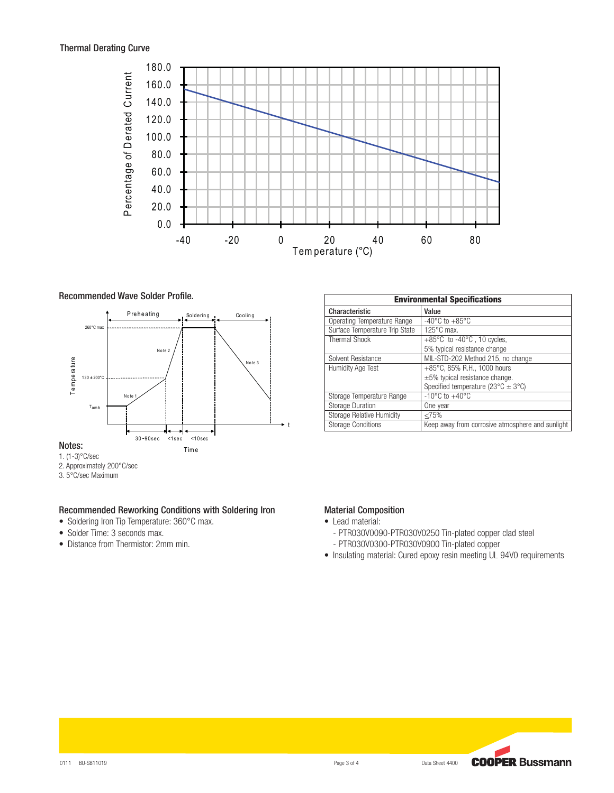

#### Recommended Wave Solder Profile.



- 2. Approximately 200°C/sec
- 3. 5°C/sec Maximum

# Recommended Reworking Conditions with Soldering Iron

- Soldering Iron Tip Temperature: 360°C max.
- Solder Time: 3 seconds max.
- Distance from Thermistor: 2mm min.

| <b>Environmental Specifications</b> |                                                              |  |  |  |  |
|-------------------------------------|--------------------------------------------------------------|--|--|--|--|
| Characteristic                      | Value                                                        |  |  |  |  |
| Operating Temperature Range         | -40 $^{\circ}$ C to +85 $^{\circ}$ C                         |  |  |  |  |
| Surface Temperature Trip State      | $125^{\circ}$ C max.                                         |  |  |  |  |
| <b>Thermal Shock</b>                | $+85^{\circ}$ C to -40 $^{\circ}$ C, 10 cycles,              |  |  |  |  |
|                                     | 5% typical resistance change                                 |  |  |  |  |
| Solvent Resistance                  | MIL-STD-202 Method 215, no change                            |  |  |  |  |
| <b>Humidity Age Test</b>            | +85°C, 85% R.H., 1000 hours                                  |  |  |  |  |
|                                     | $\pm 5\%$ typical resistance change.                         |  |  |  |  |
|                                     | Specified temperature (23 $^{\circ}$ C $\pm$ 3 $^{\circ}$ C) |  |  |  |  |
| Storage Temperature Range           | $-10^{\circ}$ C to $+40^{\circ}$ C                           |  |  |  |  |
| <b>Storage Duration</b>             | One year                                                     |  |  |  |  |
| <b>Storage Relative Humidity</b>    | <75%                                                         |  |  |  |  |
| <b>Storage Conditions</b>           | Keep away from corrosive atmosphere and sunlight             |  |  |  |  |

# Material Composition

- Lead material:
	- PTR030V0090-PTR030V0250 Tin-plated copper clad steel
	- PTR030V0300-PTR030V0900 Tin-plated copper
- Insulating material: Cured epoxy resin meeting UL 94V0 requirements